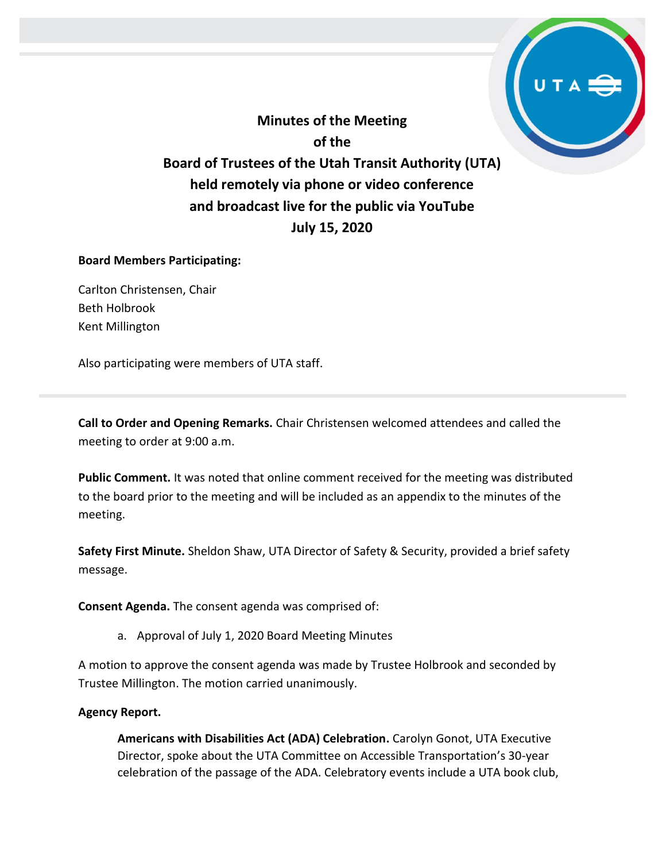**Minutes of the Meeting of the Board of Trustees of the Utah Transit Authority (UTA) held remotely via phone or video conference and broadcast live for the public via YouTube July 15, 2020**

#### **Board Members Participating:**

Carlton Christensen, Chair Beth Holbrook Kent Millington

Also participating were members of UTA staff.

**Call to Order and Opening Remarks.** Chair Christensen welcomed attendees and called the meeting to order at 9:00 a.m.

**Public Comment.** It was noted that online comment received for the meeting was distributed to the board prior to the meeting and will be included as an appendix to the minutes of the meeting.

**Safety First Minute.** Sheldon Shaw, UTA Director of Safety & Security, provided a brief safety message.

**Consent Agenda.** The consent agenda was comprised of:

a. Approval of July 1, 2020 Board Meeting Minutes

A motion to approve the consent agenda was made by Trustee Holbrook and seconded by Trustee Millington. The motion carried unanimously.

#### **Agency Report.**

**Americans with Disabilities Act (ADA) Celebration.** Carolyn Gonot, UTA Executive Director, spoke about the UTA Committee on Accessible Transportation's 30-year celebration of the passage of the ADA. Celebratory events include a UTA book club,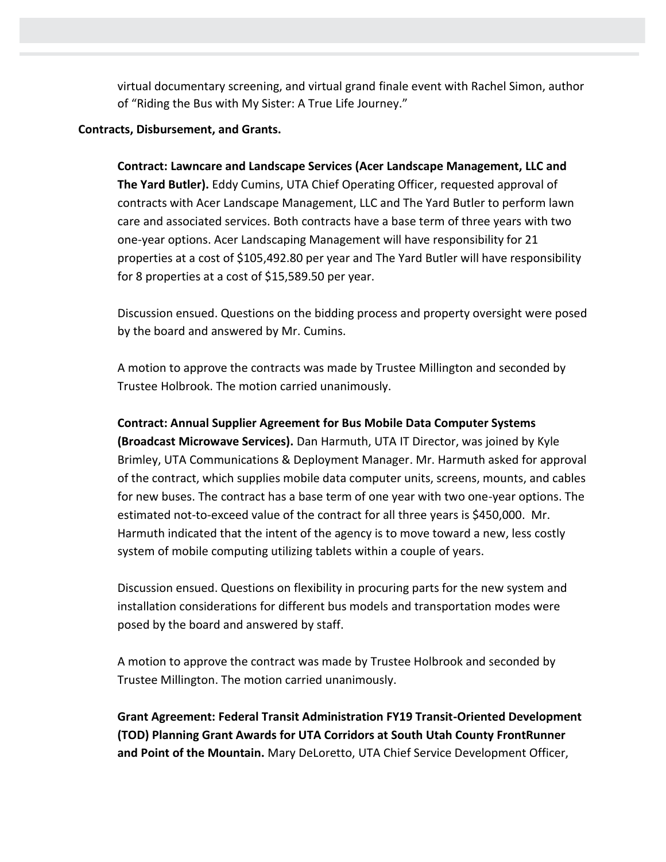virtual documentary screening, and virtual grand finale event with Rachel Simon, author of "Riding the Bus with My Sister: A True Life Journey."

### **Contracts, Disbursement, and Grants.**

**Contract: Lawncare and Landscape Services (Acer Landscape Management, LLC and The Yard Butler).** Eddy Cumins, UTA Chief Operating Officer, requested approval of contracts with Acer Landscape Management, LLC and The Yard Butler to perform lawn care and associated services. Both contracts have a base term of three years with two one-year options. Acer Landscaping Management will have responsibility for 21 properties at a cost of \$105,492.80 per year and The Yard Butler will have responsibility for 8 properties at a cost of \$15,589.50 per year.

Discussion ensued. Questions on the bidding process and property oversight were posed by the board and answered by Mr. Cumins.

A motion to approve the contracts was made by Trustee Millington and seconded by Trustee Holbrook. The motion carried unanimously.

## **Contract: Annual Supplier Agreement for Bus Mobile Data Computer Systems**

**(Broadcast Microwave Services).** Dan Harmuth, UTA IT Director, was joined by Kyle Brimley, UTA Communications & Deployment Manager. Mr. Harmuth asked for approval of the contract, which supplies mobile data computer units, screens, mounts, and cables for new buses. The contract has a base term of one year with two one-year options. The estimated not-to-exceed value of the contract for all three years is \$450,000. Mr. Harmuth indicated that the intent of the agency is to move toward a new, less costly system of mobile computing utilizing tablets within a couple of years.

Discussion ensued. Questions on flexibility in procuring parts for the new system and installation considerations for different bus models and transportation modes were posed by the board and answered by staff.

A motion to approve the contract was made by Trustee Holbrook and seconded by Trustee Millington. The motion carried unanimously.

**Grant Agreement: Federal Transit Administration FY19 Transit-Oriented Development (TOD) Planning Grant Awards for UTA Corridors at South Utah County FrontRunner and Point of the Mountain.** Mary DeLoretto, UTA Chief Service Development Officer,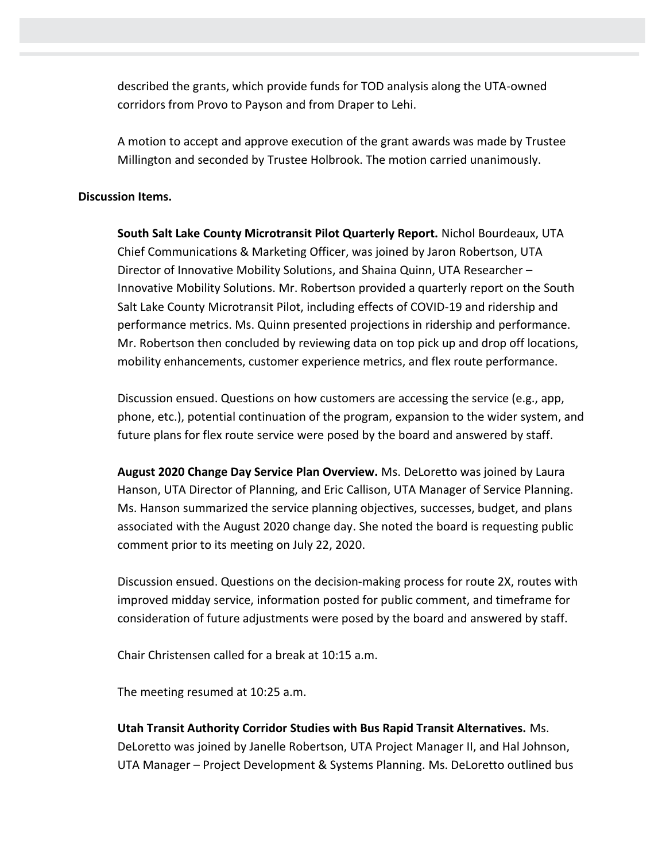described the grants, which provide funds for TOD analysis along the UTA-owned corridors from Provo to Payson and from Draper to Lehi.

A motion to accept and approve execution of the grant awards was made by Trustee Millington and seconded by Trustee Holbrook. The motion carried unanimously.

#### **Discussion Items.**

**South Salt Lake County Microtransit Pilot Quarterly Report.** Nichol Bourdeaux, UTA Chief Communications & Marketing Officer, was joined by Jaron Robertson, UTA Director of Innovative Mobility Solutions, and Shaina Quinn, UTA Researcher – Innovative Mobility Solutions. Mr. Robertson provided a quarterly report on the South Salt Lake County Microtransit Pilot, including effects of COVID-19 and ridership and performance metrics. Ms. Quinn presented projections in ridership and performance. Mr. Robertson then concluded by reviewing data on top pick up and drop off locations, mobility enhancements, customer experience metrics, and flex route performance.

Discussion ensued. Questions on how customers are accessing the service (e.g., app, phone, etc.), potential continuation of the program, expansion to the wider system, and future plans for flex route service were posed by the board and answered by staff.

**August 2020 Change Day Service Plan Overview.** Ms. DeLoretto was joined by Laura Hanson, UTA Director of Planning, and Eric Callison, UTA Manager of Service Planning. Ms. Hanson summarized the service planning objectives, successes, budget, and plans associated with the August 2020 change day. She noted the board is requesting public comment prior to its meeting on July 22, 2020.

Discussion ensued. Questions on the decision-making process for route 2X, routes with improved midday service, information posted for public comment, and timeframe for consideration of future adjustments were posed by the board and answered by staff.

Chair Christensen called for a break at 10:15 a.m.

The meeting resumed at 10:25 a.m.

**Utah Transit Authority Corridor Studies with Bus Rapid Transit Alternatives.** Ms. DeLoretto was joined by Janelle Robertson, UTA Project Manager II, and Hal Johnson, UTA Manager – Project Development & Systems Planning. Ms. DeLoretto outlined bus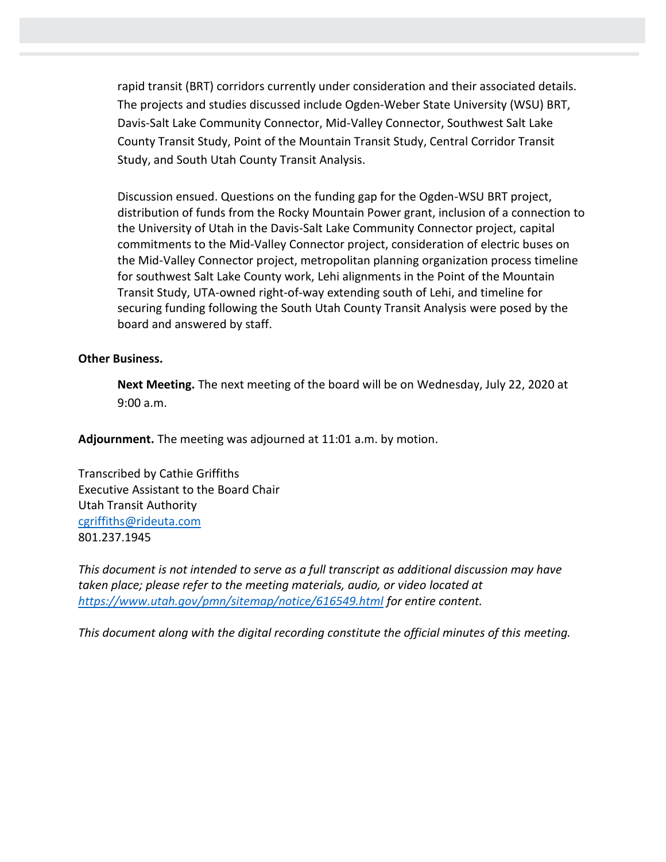rapid transit (BRT) corridors currently under consideration and their associated details. The projects and studies discussed include Ogden-Weber State University (WSU) BRT, Davis-Salt Lake Community Connector, Mid-Valley Connector, Southwest Salt Lake County Transit Study, Point of the Mountain Transit Study, Central Corridor Transit Study, and South Utah County Transit Analysis.

Discussion ensued. Questions on the funding gap for the Ogden-WSU BRT project, distribution of funds from the Rocky Mountain Power grant, inclusion of a connection to the University of Utah in the Davis-Salt Lake Community Connector project, capital commitments to the Mid-Valley Connector project, consideration of electric buses on the Mid-Valley Connector project, metropolitan planning organization process timeline for southwest Salt Lake County work, Lehi alignments in the Point of the Mountain Transit Study, UTA-owned right-of-way extending south of Lehi, and timeline for securing funding following the South Utah County Transit Analysis were posed by the board and answered by staff.

#### **Other Business.**

**Next Meeting.** The next meeting of the board will be on Wednesday, July 22, 2020 at 9:00 a.m.

**Adjournment.** The meeting was adjourned at 11:01 a.m. by motion.

Transcribed by Cathie Griffiths Executive Assistant to the Board Chair Utah Transit Authority [cgriffiths@rideuta.com](mailto:cgriffiths@rideuta.com) 801.237.1945

*This document is not intended to serve as a full transcript as additional discussion may have taken place; please refer to the meeting materials, audio, or video located at <https://www.utah.gov/pmn/sitemap/notice/616549.html> for entire content.*

*This document along with the digital recording constitute the official minutes of this meeting.*